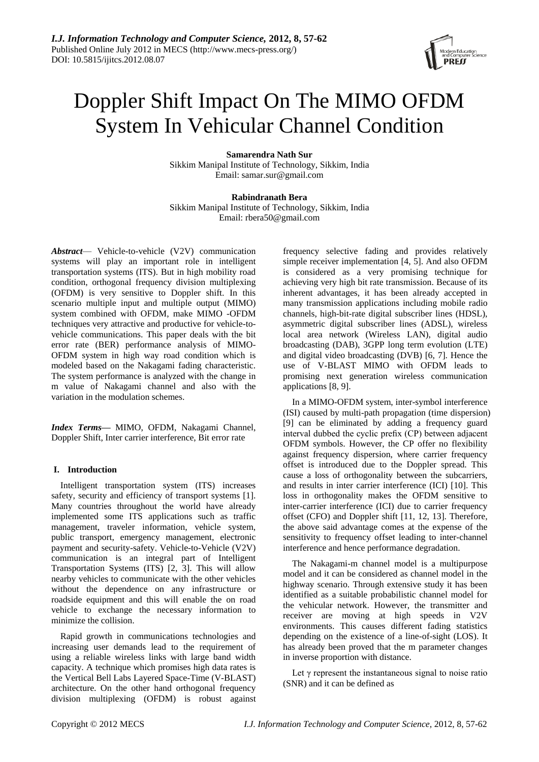

# Doppler Shift Impact On The MIMO OFDM System In Vehicular Channel Condition

**Samarendra Nath Sur** Sikkim Manipal Institute of Technology, Sikkim, India Email: samar.sur@gmail.com

**Rabindranath Bera** Sikkim Manipal Institute of Technology, Sikkim, India Email: [rbera50@gmail.com](mailto:rbera50@gmail.com)

*Abstract*— Vehicle-to-vehicle (V2V) communication systems will play an important role in intelligent transportation systems (ITS). But in high mobility road condition, orthogonal frequency division multiplexing (OFDM) is very sensitive to Doppler shift. In this scenario multiple input and multiple output (MIMO) system combined with OFDM, make MIMO -OFDM techniques very attractive and productive for vehicle-tovehicle communications. This paper deals with the bit error rate (BER) performance analysis of MIMO-OFDM system in high way road condition which is modeled based on the Nakagami fading characteristic. The system performance is analyzed with the change in m value of Nakagami channel and also with the variation in the modulation schemes.

*Index Terms***—** MIMO, OFDM, Nakagami Channel, Doppler Shift, Inter carrier interference, Bit error rate

# **I. Introduction**

Intelligent transportation system (ITS) increases safety, security and efficiency of transport systems [1]. Many countries throughout the world have already implemented some ITS applications such as traffic management, traveler information, vehicle system, public transport, emergency management, electronic payment and security-safety. Vehicle-to-Vehicle (V2V) communication is an integral part of Intelligent Transportation Systems (ITS) [2, 3]. This will allow nearby vehicles to communicate with the other vehicles without the dependence on any infrastructure or roadside equipment and this will enable the on road vehicle to exchange the necessary information to minimize the collision.

Rapid growth in communications technologies and increasing user demands lead to the requirement of using a reliable wireless links with large band width capacity. A technique which promises high data rates is the Vertical Bell Labs Layered Space-Time (V-BLAST) architecture. On the other hand orthogonal frequency division multiplexing (OFDM) is robust against

frequency selective fading and provides relatively simple receiver implementation [4, 5]. And also OFDM is considered as a very promising technique for achieving very high bit rate transmission. Because of its inherent advantages, it has been already accepted in many transmission applications including mobile radio channels, high-bit-rate digital subscriber lines (HDSL), asymmetric digital subscriber lines (ADSL), wireless local area network (Wireless LAN), digital audio broadcasting (DAB), 3GPP long term evolution (LTE) and digital video broadcasting (DVB) [6, 7]. Hence the use of V-BLAST MIMO with OFDM leads to promising next generation wireless communication applications [8, 9].

In a MIMO-OFDM system, inter-symbol interference (ISI) caused by multi-path propagation (time dispersion) [9] can be eliminated by adding a frequency guard interval dubbed the cyclic prefix (CP) between adjacent OFDM symbols. However, the CP offer no flexibility against frequency dispersion, where carrier frequency offset is introduced due to the Doppler spread. This cause a loss of orthogonality between the subcarriers, and results in inter carrier interference (ICI) [10]. This loss in orthogonality makes the OFDM sensitive to inter-carrier interference (ICI) due to carrier frequency offset (CFO) and Doppler shift [11, 12, 13]. Therefore, the above said advantage comes at the expense of the sensitivity to frequency offset leading to inter-channel interference and hence performance degradation.

The Nakagami-m channel model is a multipurpose model and it can be considered as channel model in the highway scenario. Through extensive study it has been identified as a suitable probabilistic channel model for the vehicular network. However, the transmitter and receiver are moving at high speeds in V2V environments. This causes different fading statistics depending on the existence of a line-of-sight (LOS). It has already been proved that the m parameter changes in inverse proportion with distance.

Let  $\gamma$  represent the instantaneous signal to noise ratio (SNR) and it can be defined as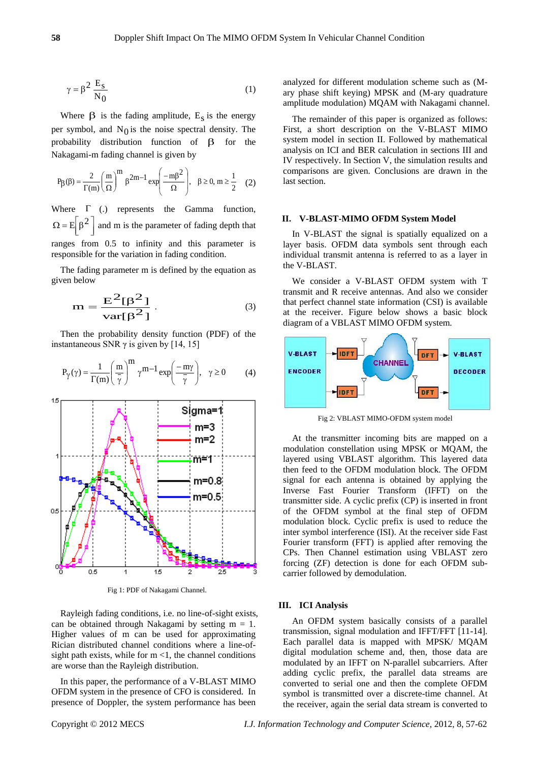$$
\gamma = \beta^2 \frac{E_s}{N_0} \tag{1}
$$

Where  $\beta$  is the fading amplitude,  $E_s$  is the energy per symbol, and  $N_0$  is the noise spectral density. The probability distribution function of  $\beta$  for the Nakagami-m fading channel is given by

$$
P_{\beta}(\beta) = \frac{2}{\Gamma(m)} \left(\frac{m}{\Omega}\right)^m \beta^{2m-1} \exp\left(\frac{-m\beta^2}{\Omega}\right), \quad \beta \ge 0, m \ge \frac{1}{2} \quad (2)
$$

Where  $\Gamma$  (.) represents the Gamma function, J  $\overline{\phantom{a}}$  $\Omega = E \left[ \beta^2 \right]$ and m is the parameter of fading depth that ranges from 0.5 to infinity and this parameter is responsible for the variation in fading condition.

The fading parameter m is defined by the equation as given below

$$
m = \frac{E^2[\beta^2]}{\text{var}[\beta^2]}.
$$
 (3)

Then the probability density function (PDF) of the instantaneous SNR  $\gamma$  is given by [14, 15]

$$
P_{\gamma}(\gamma) = \frac{1}{\Gamma(m)} \left(\frac{m}{\overline{\gamma}}\right)^{m} \gamma^{m-1} \exp\left(\frac{-m\gamma}{\overline{\gamma}}\right), \quad \gamma \ge 0 \tag{4}
$$



Fig 1: PDF of Nakagami Channel.

Rayleigh fading conditions, i.e. no line-of-sight exists, can be obtained through Nakagami by setting  $m = 1$ . Higher values of m can be used for approximating Rician distributed channel conditions where a line-ofsight path exists, while for  $m < 1$ , the channel conditions are worse than the Rayleigh distribution.

In this paper, the performance of a V-BLAST MIMO OFDM system in the presence of CFO is considered. In presence of Doppler, the system performance has been analyzed for different modulation scheme such as (Mary phase shift keying) MPSK and (M-ary quadrature amplitude modulation) MQAM with Nakagami channel.

The remainder of this paper is organized as follows: First, a short description on the V-BLAST MIMO system model in section II. Followed by mathematical analysis on ICI and BER calculation in sections III and IV respectively. In Section V, the simulation results and comparisons are given. Conclusions are drawn in the last section.

#### **II. V-BLAST-MIMO OFDM System Model**

In V-BLAST the signal is spatially equalized on a layer basis. OFDM data symbols sent through each individual transmit antenna is referred to as a layer in the V-BLAST.

We consider a V-BLAST OFDM system with T transmit and R receive antennas. And also we consider that perfect channel state information (CSI) is available at the receiver. Figure below shows a basic block diagram of a VBLAST MIMO OFDM system.



Fig 2: VBLAST MIMO-OFDM system model

At the transmitter incoming bits are mapped on a modulation constellation using MPSK or MQAM, the layered using VBLAST algorithm. This layered data then feed to the OFDM modulation block. The OFDM signal for each antenna is obtained by applying the Inverse Fast Fourier Transform (IFFT) on the transmitter side. A cyclic prefix (CP) is inserted in front of the OFDM symbol at the final step of OFDM modulation block. Cyclic prefix is used to reduce the inter symbol interference (ISI). At the receiver side Fast Fourier transform (FFT) is applied after removing the CPs. Then Channel estimation using VBLAST zero forcing (ZF) detection is done for each OFDM subcarrier followed by demodulation.

#### **III. ICI Analysis**

An OFDM system basically consists of a parallel transmission, signal modulation and IFFT/FFT [11-14]. Each parallel data is mapped with MPSK/ MQAM digital modulation scheme and, then, those data are modulated by an IFFT on N-parallel subcarriers. After adding cyclic prefix, the parallel data streams are converted to serial one and then the complete OFDM symbol is transmitted over a discrete-time channel. At the receiver, again the serial data stream is converted to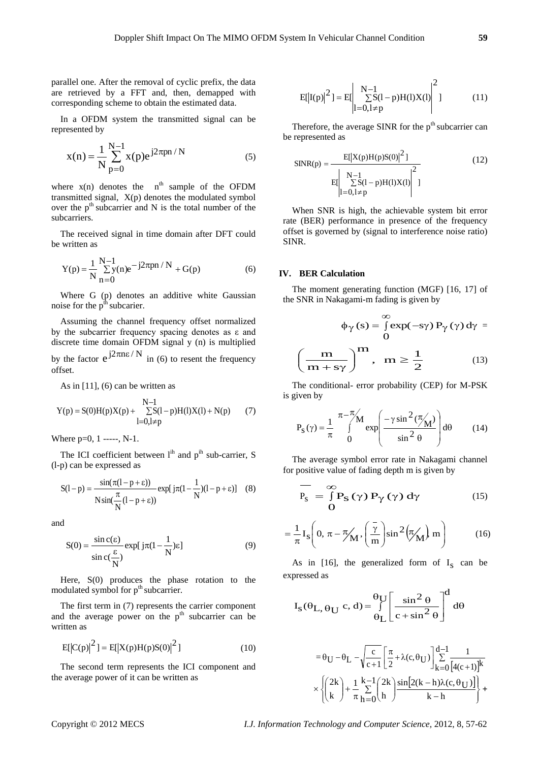parallel one. After the removal of cyclic prefix, the data are retrieved by a FFT and, then, demapped with corresponding scheme to obtain the estimated data.

In a OFDM system the transmitted signal can be represented by

$$
x(n) = \frac{1}{N} \sum_{p=0}^{N-1} x(p)e^{j2\pi pn / N}
$$
 (5)

where  $x(n)$  denotes the  $n<sup>th</sup>$  sample of the OFDM transmitted signal, X(p) denotes the modulated symbol over the  $p<sup>th</sup>$  subcarrier and N is the total number of the subcarriers.

The received signal in time domain after DFT could be written as

$$
Y(p) = \frac{1}{N} \sum_{n=0}^{N-1} y(n)e^{-j2\pi pn / N} + G(p)
$$
 (6)

Where G (p) denotes an additive white Gaussian noise for the  $p<sup>th</sup>$  subcarier.

Assuming the channel frequency offset normalized by the subcarrier frequency spacing denotes as ε and discrete time domain OFDM signal y (n) is multiplied by the factor  $e^{j2\pi n \epsilon/N}$  in (6) to resent the frequency offset.

As in [11], (6) can be written as

$$
Y(p) = S(0)H(p)X(p) + \sum_{l=0, l \neq p}^{N-1} S(l-p)H(l)X(l) + N(p) \qquad (7)
$$

Where  $p=0, 1$  -----, N-1.

The ICI coefficient between  $1<sup>ih</sup>$  and  $p<sup>ih</sup>$  sub-carrier, S (l-p) can be expressed as

$$
S(1-p) = \frac{\sin(\pi(1-p+\epsilon))}{N\sin(\frac{\pi}{N}(1-p+\epsilon))} \exp[j\pi(1-\frac{1}{N})(1-p+\epsilon)] \quad (8)
$$

and

$$
S(0) = \frac{\sin c(\varepsilon)}{\sin c(\frac{\varepsilon}{N})} \exp[j\pi(1 - \frac{1}{N})\varepsilon]
$$
(9)

Here, S(0) produces the phase rotation to the modulated symbol for  $p<sup>th</sup>$  subcarrier.

The first term in (7) represents the carrier component and the average power on the  $p<sup>th</sup>$  subcarrier can be written as

$$
E[|C(p)|^2] = E[|X(p)H(p)S(0)|^2]
$$
\n(10)

The second term represents the ICI component and the average power of it can be written as

$$
E[|I(p)|^{2}] = E\left|\sum_{l=0, l \neq p}^{N-1} S(l-p)H(l)X(l)\right|^{2} \tag{11}
$$

Therefore, the average SINR for the  $p<sup>th</sup>$  subcarrier can be represented as

$$
SINR(p) = \frac{E[|X(p)H(p)S(0)|^{2}]}{E[|\sum_{l=0, l \neq p}^{N-1} S(l-p)H(l)X(l)|^{2}]}
$$
(12)

When SNR is high, the achievable system bit error rate (BER) performance in presence of the frequency offset is governed by (signal to interference noise ratio) SINR.

## **IV. BER Calculation**

The moment generating function (MGF) [16, 17] of the SNR in Nakagami-m fading is given by

$$
\phi_{\gamma}(s) = \int_{0}^{\infty} \exp(-s\gamma) P_{\gamma}(\gamma) d\gamma =
$$

$$
\left(\frac{m}{m + s\gamma}\right)^{m}, \quad m \ge \frac{1}{2}
$$
(13)

The conditional- error probability (CEP) for M-PSK is given by

$$
P_S(\gamma) = \frac{1}{\pi} \int_{0}^{\pi - \frac{\pi}{\gamma}} \exp\left(\frac{-\gamma \sin^2(\frac{\pi}{\gamma})}{\sin^2 \theta}\right) d\theta \qquad (14)
$$

The average symbol error rate in Nakagami channel for positive value of fading depth m is given by

$$
\frac{\mathbf{P}_{\mathbf{S}}}{\mathbf{P}_{\mathbf{S}}} = \frac{\mathbf{S}}{\mathbf{D}} \mathbf{P}_{\mathbf{S}} \left( \gamma \right) \mathbf{P}_{\gamma} \left( \gamma \right) \mathbf{d} \gamma \tag{15}
$$

$$
= \frac{1}{\pi} \mathbf{I}_S \left( 0, \pi - \frac{\pi}{M}, \left( \frac{\bar{\gamma}}{m} \right) \sin^2 \left( \frac{\pi}{M} \right) m \right) \tag{16}
$$

As in [16], the generalized form of  $I_s$  can be expressed as

$$
I_S(\theta_L, \theta_U \ c, d) = \int_{\theta_L}^{\theta_U} \left[ \frac{\sin^2 \theta}{c + \sin^2 \theta} \right]^d d\theta
$$

$$
= \theta_U - \theta_L - \sqrt{\frac{c}{c+1}} \left[ \frac{\pi}{2} + \lambda(c, \theta_U) \right] \sum_{k=0}^{d-1} \frac{1}{[4(c+1)]^k}
$$

$$
\times \left\{ \binom{2k}{k} + \frac{1}{\pi} \sum_{h=0}^{k-1} \binom{2k}{h} \frac{\sin[2(k-h)\lambda(c, \theta_U)]}{k-h} \right\} +
$$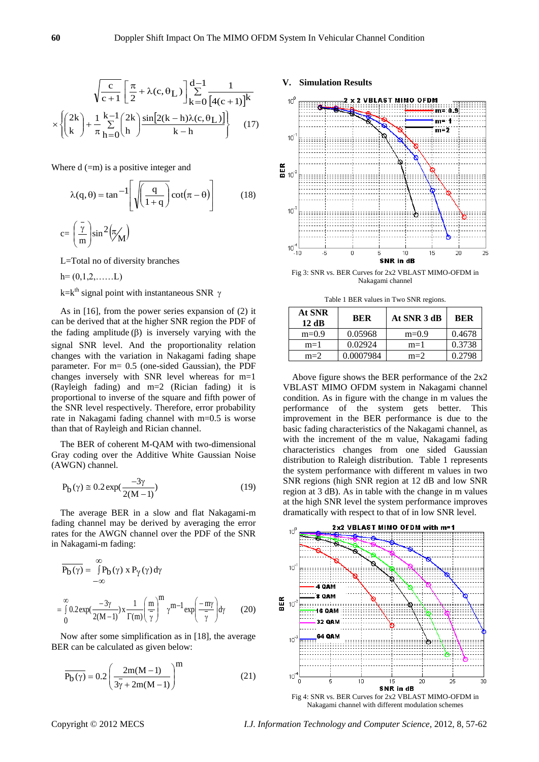$$
\sqrt{\frac{c}{c+1}} \left[ \frac{\pi}{2} + \lambda(c, \theta_L) \right] \sum_{k=0}^{d-1} \frac{1}{[4(c+1)]^k}
$$

$$
\times \left\{ \binom{2k}{k} + \frac{1}{\pi} \sum_{h=0}^{k-1} \binom{2k}{h} \frac{\sin[2(k-h)\lambda(c, \theta_L)]}{k-h} \right\} \tag{17}
$$

Where  $d$  (=m) is a positive integer and

$$
\lambda(q, \theta) = \tan^{-1} \left[ \sqrt{\left(\frac{q}{1+q}\right)} \cot(\pi - \theta) \right]
$$
 (18)  

$$
c = \left(\frac{7}{m}\right) \sin^2(\pi_M)
$$

L=Total no of diversity branches

 $h=(0,1,2,......L)$ 

k=k<sup>th</sup> signal point with instantaneous SNR  $\gamma$ 

As in [16], from the power series expansion of (2) it can be derived that at the higher SNR region the PDF of the fading amplitude  $(\beta)$  is inversely varying with the signal SNR level. And the proportionality relation changes with the variation in Nakagami fading shape parameter. For m= 0.5 (one-sided Gaussian), the PDF changes inversely with SNR level whereas for m=1 (Rayleigh fading) and m=2 (Rician fading) it is proportional to inverse of the square and fifth power of the SNR level respectively. Therefore, error probability rate in Nakagami fading channel with m=0.5 is worse than that of Rayleigh and Rician channel.

The BER of coherent M-QAM with two-dimensional Gray coding over the Additive White Gaussian Noise (AWGN) channel.

$$
P_b(\gamma) \approx 0.2 \exp(\frac{-3\gamma}{2(M-1)})
$$
\n(19)

The average BER in a slow and flat Nakagami-m fading channel may be derived by averaging the error rates for the AWGN channel over the PDF of the SNR in Nakagami-m fading:

$$
\overline{P_{b}(\gamma)} = \int_{-\infty}^{\infty} P_{b}(\gamma) \, x \, P_{\gamma}(\gamma) \, d\gamma
$$

$$
= \int_{0}^{\infty} 0.2 \exp(\frac{-3\gamma}{2(M-1)}) \, x \, \frac{1}{\Gamma(m)} \left(\frac{m}{\gamma}\right)^{m} \gamma^{m-1} \exp\left(\frac{-m\gamma}{\gamma}\right) d\gamma \qquad (20)
$$

Now after some simplification as in [18], the average BER can be calculated as given below:

$$
\overline{P_b(\gamma)} = 0.2 \left( \frac{2m(M-1)}{3\overline{\gamma} + 2m(M-1)} \right)^m
$$
\n(21)

## **V. Simulation Results**



Fig 3: SNR vs. BER Curves for 2x2 VBLAST MIMO-OFDM in Nakagami channel

Table 1 BER values in Two SNR regions.

| At SNR<br>12dB | <b>BER</b> | At SNR 3 dB | <b>BER</b> |
|----------------|------------|-------------|------------|
| $m=0.9$        | 0.05968    | $m=0.9$     | 0.4678     |
| $m=1$          | 0.02924    | $m=1$       | 0.3738     |
| $m=2$          | 0.0007984  | $m=2$       | 0.2798     |

Above figure shows the BER performance of the 2x2 VBLAST MIMO OFDM system in Nakagami channel condition. As in figure with the change in m values the performance of the system gets better. This improvement in the BER performance is due to the basic fading characteristics of the Nakagami channel, as with the increment of the m value, Nakagami fading characteristics changes from one sided Gaussian distribution to Raleigh distribution. Table 1 represents the system performance with different m values in two SNR regions (high SNR region at 12 dB and low SNR region at 3 dB). As in table with the change in m values at the high SNR level the system performance improves dramatically with respect to that of in low SNR level.



Nakagami channel with different modulation schemes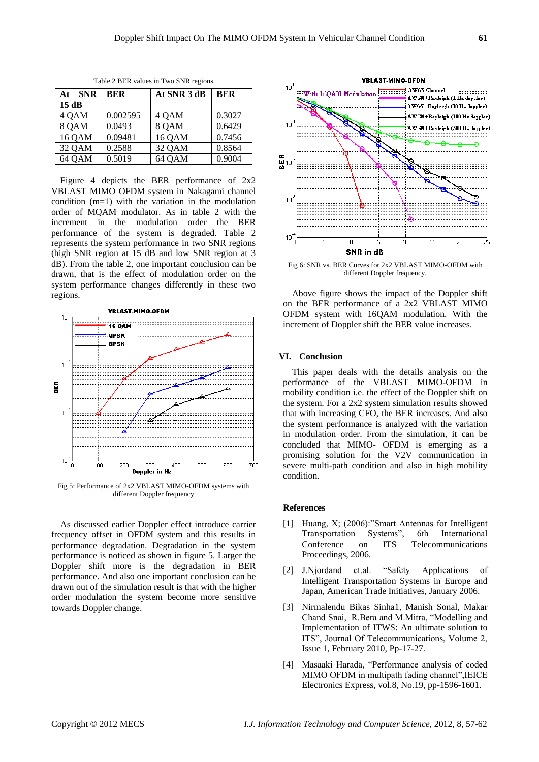| <b>SNR</b><br>At | <b>BER</b> | At SNR 3 dB | <b>BER</b> |
|------------------|------------|-------------|------------|
| 15dB             |            |             |            |
| 4 OAM            | 0.002595   | 4 OAM       | 0.3027     |
| 8 QAM            | 0.0493     | 8 QAM       | 0.6429     |
| 16 QAM           | 0.09481    | 16 QAM      | 0.7456     |
| 32 QAM           | 0.2588     | 32 QAM      | 0.8564     |
| 64 QAM           | 0.5019     | 64 QAM      | 0.9004     |

Table 2 BER values in Two SNR regions

Figure 4 depicts the BER performance of 2x2 VBLAST MIMO OFDM system in Nakagami channel condition (m=1) with the variation in the modulation order of MQAM modulator. As in table 2 with the increment in the modulation order the BER performance of the system is degraded. Table 2 represents the system performance in two SNR regions (high SNR region at 15 dB and low SNR region at 3 dB). From the table 2, one important conclusion can be drawn, that is the effect of modulation order on the system performance changes differently in these two regions.



Fig 5: Performance of 2x2 VBLAST MIMO-OFDM systems with different Doppler frequency

As discussed earlier Doppler effect introduce carrier frequency offset in OFDM system and this results in performance degradation. Degradation in the system performance is noticed as shown in figure 5. Larger the Doppler shift more is the degradation in BER performance. And also one important conclusion can be drawn out of the simulation result is that with the higher order modulation the system become more sensitive towards Doppler change.



Fig 6: SNR vs. BER Curves for 2x2 VBLAST MIMO-OFDM with different Doppler frequency.

Above figure shows the impact of the Doppler shift on the BER performance of a 2x2 VBLAST MIMO OFDM system with 16QAM modulation. With the increment of Doppler shift the BER value increases.

#### **VI. Conclusion**

This paper deals with the details analysis on the performance of the VBLAST MIMO-OFDM in mobility condition i.e. the effect of the Doppler shift on the system. For a 2x2 system simulation results showed that with increasing CFO, the BER increases. And also the system performance is analyzed with the variation in modulation order. From the simulation, it can be concluded that MIMO- OFDM is emerging as a promising solution for the V2V communication in severe multi-path condition and also in high mobility condition.

## **References**

- [1] Huang, X; (2006):"Smart Antennas for Intelligent Transportation Systems", 6th International Conference on ITS Telecommunications Proceedings, 2006.
- [2] J.Njordand et.al. "Safety Applications of Intelligent Transportation Systems in Europe and Japan, American Trade Initiatives, January 2006.
- [3] Nirmalendu Bikas Sinha1, Manish Sonal, Makar Chand Snai, R.Bera and M.Mitra, "Modelling and Implementation of ITWS: An ultimate solution to ITS", Journal Of Telecommunications, Volume 2, Issue 1, February 2010, Pp-17-27.
- [4] Masaaki Harada, "Performance analysis of coded MIMO OFDM in multipath fading channel",IEICE Electronics Express, vol.8, No.19, pp-1596-1601.